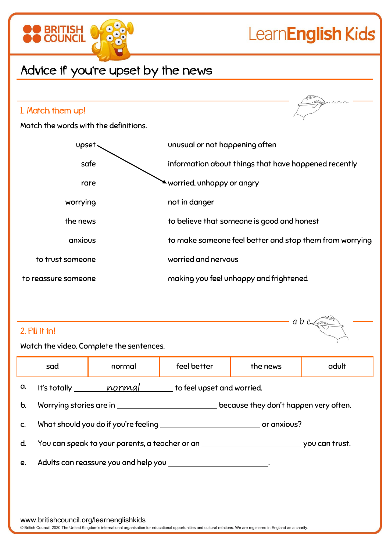

## LearnEnglish Kids

## Advice if you're upset by the news



| abc<br>2. Fill it in!                                                                                       |        |             |                                          |       |  |  |  |  |  |
|-------------------------------------------------------------------------------------------------------------|--------|-------------|------------------------------------------|-------|--|--|--|--|--|
|                                                                                                             | normal | feel better | the news                                 | adult |  |  |  |  |  |
| It's totally <i>normal</i> to feel upset and worried.                                                       |        |             |                                          |       |  |  |  |  |  |
| b.                                                                                                          |        |             |                                          |       |  |  |  |  |  |
|                                                                                                             |        |             |                                          |       |  |  |  |  |  |
| You can speak to your parents, a teacher or an <b>contract to the season of the season of trust</b> .<br>d. |        |             |                                          |       |  |  |  |  |  |
| Adults can reassure you and help you _____________________________.<br>e.                                   |        |             |                                          |       |  |  |  |  |  |
|                                                                                                             |        |             |                                          |       |  |  |  |  |  |
|                                                                                                             | sad    |             | Watch the video. Complete the sentences. |       |  |  |  |  |  |

www.britishcouncil.org/learnenglishkids

© British Council, 2020 The United Kingdom's international organisation for educational opportunities and cultural relations. We are registered in England as a charity.